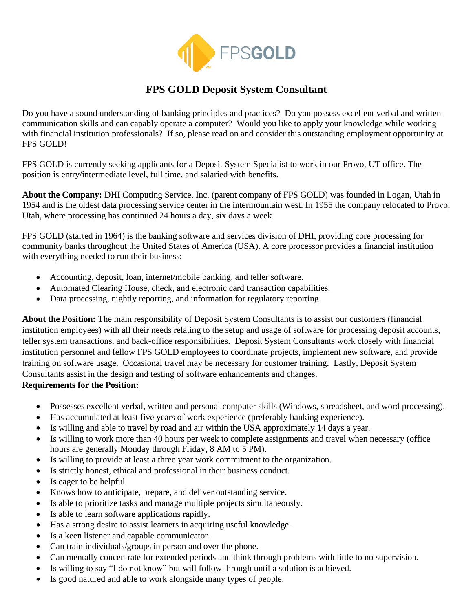

## **FPS GOLD Deposit System Consultant**

Do you have a sound understanding of banking principles and practices? Do you possess excellent verbal and written communication skills and can capably operate a computer? Would you like to apply your knowledge while working with financial institution professionals? If so, please read on and consider this outstanding employment opportunity at FPS GOLD!

FPS GOLD is currently seeking applicants for a Deposit System Specialist to work in our Provo, UT office. The position is entry/intermediate level, full time, and salaried with benefits.

**About the Company:** DHI Computing Service, Inc. (parent company of FPS GOLD) was founded in Logan, Utah in 1954 and is the oldest data processing service center in the intermountain west. In 1955 the company relocated to Provo, Utah, where processing has continued 24 hours a day, six days a week.

FPS GOLD (started in 1964) is the banking software and services division of DHI, providing core processing for community banks throughout the United States of America (USA). A core processor provides a financial institution with everything needed to run their business:

- Accounting, deposit, loan, internet/mobile banking, and teller software.
- Automated Clearing House, check, and electronic card transaction capabilities.
- Data processing, nightly reporting, and information for regulatory reporting.

**About the Position:** The main responsibility of Deposit System Consultants is to assist our customers (financial institution employees) with all their needs relating to the setup and usage of software for processing deposit accounts, teller system transactions, and back-office responsibilities. Deposit System Consultants work closely with financial institution personnel and fellow FPS GOLD employees to coordinate projects, implement new software, and provide training on software usage. Occasional travel may be necessary for customer training. Lastly, Deposit System Consultants assist in the design and testing of software enhancements and changes.

## **Requirements for the Position:**

- Possesses excellent verbal, written and personal computer skills (Windows, spreadsheet, and word processing).
- Has accumulated at least five years of work experience (preferably banking experience).
- Is willing and able to travel by road and air within the USA approximately 14 days a year.
- Is willing to work more than 40 hours per week to complete assignments and travel when necessary (office hours are generally Monday through Friday, 8 AM to 5 PM).
- Is willing to provide at least a three year work commitment to the organization.
- Is strictly honest, ethical and professional in their business conduct.
- Is eager to be helpful.
- Knows how to anticipate, prepare, and deliver outstanding service.
- Is able to prioritize tasks and manage multiple projects simultaneously.
- Is able to learn software applications rapidly.
- Has a strong desire to assist learners in acquiring useful knowledge.
- Is a keen listener and capable communicator.
- Can train individuals/groups in person and over the phone.
- Can mentally concentrate for extended periods and think through problems with little to no supervision.
- Is willing to say "I do not know" but will follow through until a solution is achieved.
- Is good natured and able to work alongside many types of people.